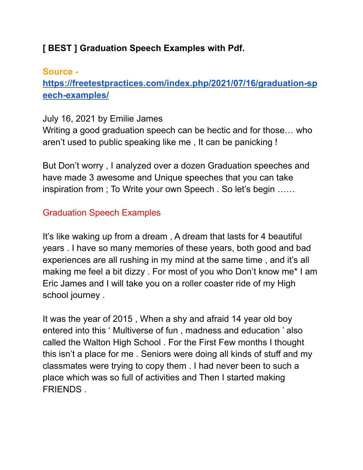### **[ BEST ] Graduation Speech Examples with Pdf.**

## **Source [https://freetestpractices.com/index.php/2021/07/16/graduation-sp](https://freetestpractices.com/index.php/2021/07/16/graduation-speech-examples/) [eech-examples/](https://freetestpractices.com/index.php/2021/07/16/graduation-speech-examples/)**

#### July 16, 2021 by Emilie James

Writing a good graduation speech can be hectic and for those… who aren't used to public speaking like me , It can be panicking !

But Don't worry , I analyzed over a dozen Graduation speeches and have made 3 awesome and Unique speeches that you can take inspiration from ; To Write your own Speech . So let's begin ……

# Graduation Speech Examples

It's like waking up from a dream , A dream that lasts for 4 beautiful years . I have so many memories of these years, both good and bad experiences are all rushing in my mind at the same time , and it's all making me feel a bit dizzy . For most of you who Don't know me\* I am Eric James and I will take you on a roller coaster ride of my High school journey .

It was the year of 2015 , When a shy and afraid 14 year old boy entered into this ' Multiverse of fun , madness and education ' also called the Walton High School . For the First Few months I thought this isn't a place for me . Seniors were doing all kinds of stuff and my classmates were trying to copy them . I had never been to such a place which was so full of activities and Then I started making FRIENDS .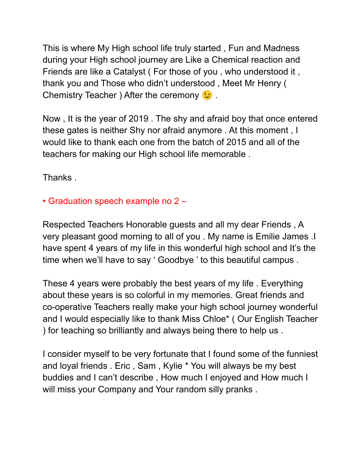This is where My High school life truly started , Fun and Madness during your High school journey are Like a Chemical reaction and Friends are like a Catalyst ( For those of you , who understood it , thank you and Those who didn't understood , Meet Mr Henry ( Chemistry Teacher ) After the ceremony  $\odot$ .

Now , It is the year of 2019 . The shy and afraid boy that once entered these gates is neither Shy nor afraid anymore . At this moment , I would like to thank each one from the batch of 2015 and all of the teachers for making our High school life memorable .

Thanks .

## • Graduation speech example no 2 –

Respected Teachers Honorable guests and all my dear Friends , A very pleasant good morning to all of you . My name is Emilie James .I have spent 4 years of my life in this wonderful high school and It's the time when we'll have to say ' Goodbye ' to this beautiful campus .

These 4 years were probably the best years of my life . Everything about these years is so colorful in my memories. Great friends and co-operative Teachers really make your high school journey wonderful and I would especially like to thank Miss Chloe\* ( Our English Teacher ) for teaching so brilliantly and always being there to help us .

I consider myself to be very fortunate that I found some of the funniest and loyal friends . Eric , Sam , Kylie \* You will always be my best buddies and I can't describe , How much I enjoyed and How much I will miss your Company and Your random silly pranks.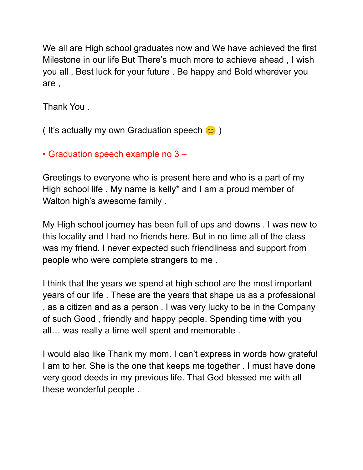We all are High school graduates now and We have achieved the first Milestone in our life But There's much more to achieve ahead , I wish you all , Best luck for your future . Be happy and Bold wherever you are ,

Thank You .

( It's actually my own Graduation speech  $\infty$  )

• Graduation speech example no 3 –

Greetings to everyone who is present here and who is a part of my High school life . My name is kelly\* and I am a proud member of Walton high's awesome family .

My High school journey has been full of ups and downs . I was new to this locality and I had no friends here. But in no time all of the class was my friend. I never expected such friendliness and support from people who were complete strangers to me .

I think that the years we spend at high school are the most important years of our life . These are the years that shape us as a professional , as a citizen and as a person . I was very lucky to be in the Company of such Good , friendly and happy people. Spending time with you all… was really a time well spent and memorable .

I would also like Thank my mom. I can't express in words how grateful I am to her. She is the one that keeps me together . I must have done very good deeds in my previous life. That God blessed me with all these wonderful people .